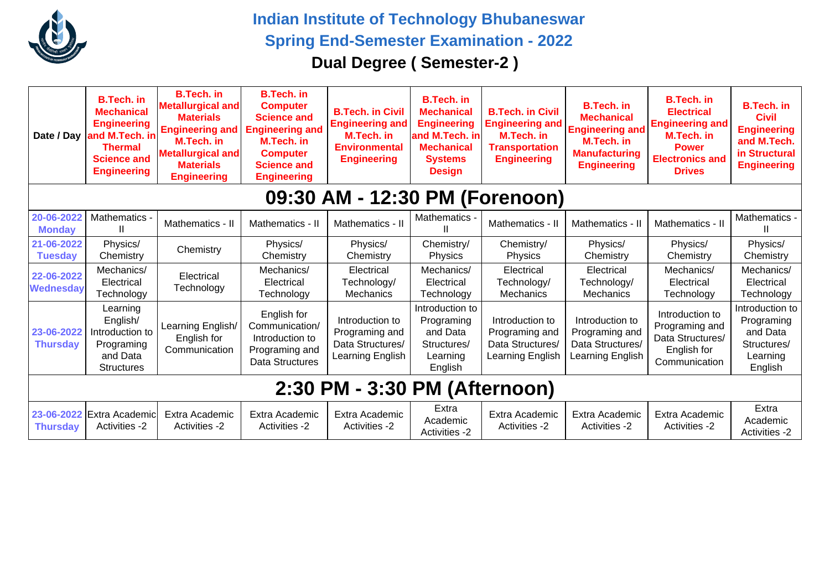

**Indian Institute of Technology Bhubaneswar Spring End-Semester Examination - 2022 Dual Degree ( Semester-2 )**

|                                | <b>B.Tech.</b> in<br><b>Mechanical</b><br><b>Engineering</b><br>Date / Day and M.Tech. in<br><b>Thermal</b><br><b>Science and</b><br><b>Engineering</b> | <b>B.Tech. in</b><br>Metallurgical and<br><b>Materials</b><br><b>Engineering and</b><br><b>M.Tech. in</b><br><b>Metallurgical and</b><br><b>Materials</b><br><b>Engineering</b> | <b>B.Tech. in</b><br><b>Computer</b><br><b>Science and</b><br><b>Engineering and</b><br>M.Tech. in<br><b>Computer</b><br><b>Science and</b><br><b>Engineering</b> | <b>B.Tech. in Civil</b><br><b>Engineering and</b><br>M.Tech. in<br><b>Environmental</b><br><b>Engineering</b> | <b>B.Tech. in</b><br><b>Mechanical</b><br><b>Engineering</b><br>and M.Tech. in<br><b>Mechanical</b><br><b>Systems</b><br><b>Design</b> | <b>B.Tech. in Civil</b><br><b>Engineering and</b><br><b>M.Tech. in</b><br><b>Transportation</b><br><b>Engineering</b> | <b>B.Tech. in</b><br><b>Mechanical</b><br><b>Engineering and</b><br><b>M.Tech.</b> in<br><b>Manufacturing</b><br><b>Engineering</b> | <b>B.Tech. in</b><br><b>Electrical</b><br><b>Engineering and</b><br>M.Tech. in<br><b>Power</b><br><b>Electronics and</b><br><b>Drives</b> | <b>B.Tech. in</b><br><b>Civil</b><br><b>Engineering</b><br>and M.Tech.<br>in Structural<br><b>Engineering</b> |  |  |  |
|--------------------------------|---------------------------------------------------------------------------------------------------------------------------------------------------------|---------------------------------------------------------------------------------------------------------------------------------------------------------------------------------|-------------------------------------------------------------------------------------------------------------------------------------------------------------------|---------------------------------------------------------------------------------------------------------------|----------------------------------------------------------------------------------------------------------------------------------------|-----------------------------------------------------------------------------------------------------------------------|-------------------------------------------------------------------------------------------------------------------------------------|-------------------------------------------------------------------------------------------------------------------------------------------|---------------------------------------------------------------------------------------------------------------|--|--|--|
| 09:30 AM - 12:30 PM (Forenoon) |                                                                                                                                                         |                                                                                                                                                                                 |                                                                                                                                                                   |                                                                                                               |                                                                                                                                        |                                                                                                                       |                                                                                                                                     |                                                                                                                                           |                                                                                                               |  |  |  |
| 20-06-2022<br><b>Monday</b>    | Mathematics -<br>Ш                                                                                                                                      | Mathematics - II                                                                                                                                                                | Mathematics - II                                                                                                                                                  | Mathematics - II                                                                                              | Mathematics -                                                                                                                          | Mathematics - II                                                                                                      | Mathematics - II                                                                                                                    | Mathematics - II                                                                                                                          | Mathematics -                                                                                                 |  |  |  |
| 21-06-2022<br><b>Tuesday</b>   | Physics/<br>Chemistry                                                                                                                                   | Chemistry                                                                                                                                                                       | Physics/<br>Chemistry                                                                                                                                             | Physics/<br>Chemistry                                                                                         | Chemistry/<br>Physics                                                                                                                  | Chemistry/<br>Physics                                                                                                 | Physics/<br>Chemistry                                                                                                               | Physics/<br>Chemistry                                                                                                                     | Physics/<br>Chemistry                                                                                         |  |  |  |
| 22-06-2022<br><b>Wednesday</b> | Mechanics/<br>Electrical<br>Technology                                                                                                                  | Electrical<br>Technology                                                                                                                                                        | Mechanics/<br>Electrical<br>Technology                                                                                                                            | Electrical<br>Technology/<br><b>Mechanics</b>                                                                 | Mechanics/<br>Electrical<br>Technology                                                                                                 | Electrical<br>Technology/<br>Mechanics                                                                                | Electrical<br>Technology/<br><b>Mechanics</b>                                                                                       | Mechanics/<br>Electrical<br>Technology                                                                                                    | Mechanics/<br>Electrical<br>Technology                                                                        |  |  |  |
| 23-06-2022<br><b>Thursday</b>  | Learning<br>English/<br>Introduction to<br>Programing<br>and Data<br><b>Structures</b>                                                                  | Learning English/<br>English for<br>Communication                                                                                                                               | English for<br>Communication/<br>Introduction to<br>Programing and<br>Data Structures                                                                             | Introduction to<br>Programing and<br>Data Structures/<br>Learning English                                     | Introduction to<br>Programing<br>and Data<br>Structures/<br>Learning<br>English                                                        | Introduction to<br>Programing and<br>Data Structures/<br>Learning English                                             | Introduction to<br>Programing and<br>Data Structures/<br>Learning English                                                           | Introduction to<br>Programing and<br>Data Structures/<br>English for<br>Communication                                                     | Introduction to<br>Programing<br>and Data<br>Structures/<br>Learning<br>English                               |  |  |  |
| 2:30 PM - 3:30 PM (Afternoon)  |                                                                                                                                                         |                                                                                                                                                                                 |                                                                                                                                                                   |                                                                                                               |                                                                                                                                        |                                                                                                                       |                                                                                                                                     |                                                                                                                                           |                                                                                                               |  |  |  |
| <b>Thursday</b>                | 23-06-2022 Extra Academic<br><b>Activities -2</b>                                                                                                       | Extra Academic<br>Activities -2                                                                                                                                                 | Extra Academic<br><b>Activities -2</b>                                                                                                                            | Extra Academic<br><b>Activities -2</b>                                                                        | Extra<br>Academic<br><b>Activities -2</b>                                                                                              | Extra Academic<br><b>Activities -2</b>                                                                                | Extra Academic<br><b>Activities -2</b>                                                                                              | Extra Academic<br><b>Activities -2</b>                                                                                                    | Extra<br>Academic<br><b>Activities -2</b>                                                                     |  |  |  |